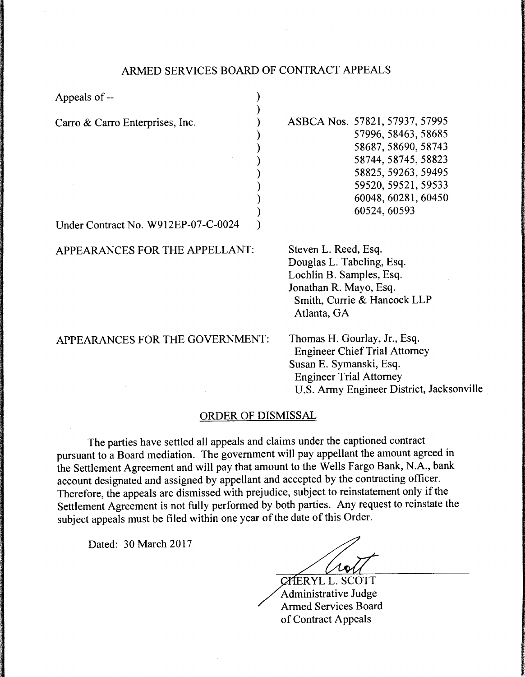## ARMED SERVICES BOARD OF CONTRACT APPEALS

| Appeals of --                                                          |                                                                                                                                                                                          |
|------------------------------------------------------------------------|------------------------------------------------------------------------------------------------------------------------------------------------------------------------------------------|
| Carro & Carro Enterprises, Inc.<br>Under Contract No. W912EP-07-C-0024 | ASBCA Nos. 57821, 57937, 57995<br>57996, 58463, 58685<br>58687, 58690, 58743<br>58744, 58745, 58823<br>58825, 59263, 59495<br>59520, 59521, 59533<br>60048, 60281, 60450<br>60524, 60593 |
| APPEARANCES FOR THE APPELLANT:                                         | Steven L. Reed, Esq.<br>Douglas L. Tabeling, Esq.<br>Lochlin B. Samples, Esq.<br>Jonathan R. Mayo, Esq.<br>Smith, Currie & Hancock LLP<br>Atlanta, GA                                    |
| APPEARANCES FOR THE GOVERNMENT:                                        | Thomas H. Gourlay, Jr., Esq.<br><b>Engineer Chief Trial Attorney</b><br>Susan E. Symanski, Esq.<br><b>Engineer Trial Attorney</b><br>U.S. Army Engineer District, Jacksonville           |

## ORDER OF DISMISSAL

The parties have settled all appeals and claims under the captioned contract pursuant to a Board mediation. The government will pay appellant the amount agreed in the Settlement Agreement and will pay that amount to the Wells Fargo Bank, N.A., bank account designated and assigned by appellant and accepted by the contracting officer. Therefore, the appeals are dismissed with prejudice, subject to reinstatement only if the Settlement Agreement is not fully performed by both parties. Any request to reinstate the subject appeals must be filed within one year of the date of this Order.

Dated: 30 March 2017

 $\sqrt{d}$ 

CHERYL L. SCOTT Administrative Judge Armed Services Board of Contract Appeals